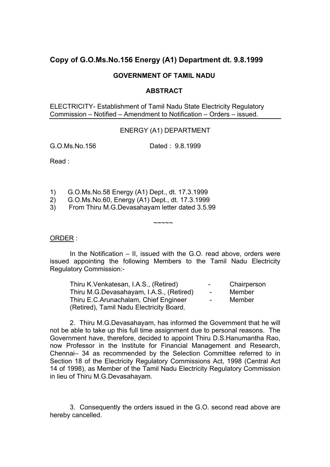# **Copy of G.O.Ms.No.156 Energy (A1) Department dt. 9.8.1999**

# **GOVERNMENT OF TAMIL NADU**

### **ABSTRACT**

ELECTRICITY- Establishment of Tamil Nadu State Electricity Regulatory Commission – Notified – Amendment to Notification – Orders – issued.

### ENERGY (A1) DEPARTMENT

G.O.Ms.No.156 Dated : 9.8.1999

Read :

- 1) G.O.Ms.No.58 Energy (A1) Dept., dt. 17.3.1999
- 2) G.O.Ms.No.60, Energy (A1) Dept., dt. 17.3.1999
- 3) From Thiru M.G.Devasahayam letter dated 3.5.99

#### ORDER :

 In the Notification – II, issued with the G.O. read above, orders were issued appointing the following Members to the Tamil Nadu Electricity Regulatory Commission:-

 $\sim\sim\sim\sim\sim$ 

| Thiru K. Venkatesan, I.A.S., (Retired)   | $\sim$ 100 $\sim$ | Chairperson |
|------------------------------------------|-------------------|-------------|
| Thiru M.G.Devasahayam, I.A.S., (Retired) | $\sim$ 10 $\pm$   | Member      |
| Thiru E.C. Arunachalam, Chief Engineer   | $\sim$ 100 $\mu$  | Member      |
| (Retired), Tamil Nadu Electricity Board. |                   |             |

 2. Thiru M.G.Devasahayam, has informed the Government that he will not be able to take up this full time assignment due to personal reasons. The Government have, therefore, decided to appoint Thiru D.S.Hanumantha Rao, now Professor in the Institute for Financial Management and Research, Chennai– 34 as recommended by the Selection Committee referred to in Section 18 of the Electricity Regulatory Commissions Act, 1998 (Central Act 14 of 1998), as Member of the Tamil Nadu Electricity Regulatory Commission in lieu of Thiru M.G.Devasahayam.

 3. Consequently the orders issued in the G.O. second read above are hereby cancelled.